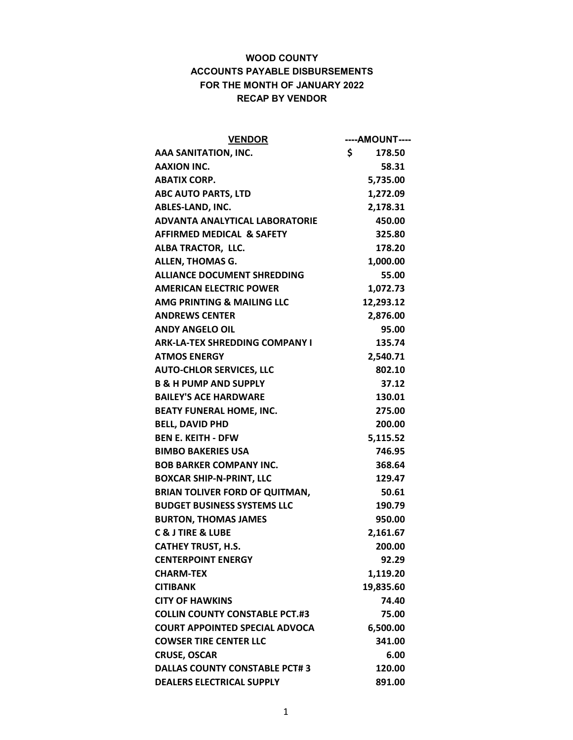| <b>VENDOR</b>                         | ----AMOUNT---- |
|---------------------------------------|----------------|
| AAA SANITATION, INC.                  | \$<br>178.50   |
| <b>AAXION INC.</b>                    | 58.31          |
| <b>ABATIX CORP.</b>                   | 5,735.00       |
| <b>ABC AUTO PARTS, LTD</b>            | 1,272.09       |
| ABLES-LAND, INC.                      | 2,178.31       |
| <b>ADVANTA ANALYTICAL LABORATORIE</b> | 450.00         |
| <b>AFFIRMED MEDICAL &amp; SAFETY</b>  | 325.80         |
| ALBA TRACTOR, LLC.                    | 178.20         |
| <b>ALLEN, THOMAS G.</b>               | 1,000.00       |
| <b>ALLIANCE DOCUMENT SHREDDING</b>    | 55.00          |
| <b>AMERICAN ELECTRIC POWER</b>        | 1,072.73       |
| AMG PRINTING & MAILING LLC            | 12,293.12      |
| <b>ANDREWS CENTER</b>                 | 2,876.00       |
| <b>ANDY ANGELO OIL</b>                | 95.00          |
| <b>ARK-LA-TEX SHREDDING COMPANY I</b> | 135.74         |
| <b>ATMOS ENERGY</b>                   | 2,540.71       |
| <b>AUTO-CHLOR SERVICES, LLC</b>       | 802.10         |
| <b>B &amp; H PUMP AND SUPPLY</b>      | 37.12          |
| <b>BAILEY'S ACE HARDWARE</b>          | 130.01         |
| <b>BEATY FUNERAL HOME, INC.</b>       | 275.00         |
| <b>BELL, DAVID PHD</b>                | 200.00         |
| <b>BEN E. KEITH - DFW</b>             | 5,115.52       |
| <b>BIMBO BAKERIES USA</b>             | 746.95         |
| <b>BOB BARKER COMPANY INC.</b>        | 368.64         |
| <b>BOXCAR SHIP-N-PRINT, LLC</b>       | 129.47         |
| <b>BRIAN TOLIVER FORD OF QUITMAN,</b> | 50.61          |
| <b>BUDGET BUSINESS SYSTEMS LLC</b>    | 190.79         |
| <b>BURTON, THOMAS JAMES</b>           | 950.00         |
| <b>C &amp; J TIRE &amp; LUBE</b>      | 2,161.67       |
| <b>CATHEY TRUST, H.S.</b>             | 200.00         |
| <b>CENTERPOINT ENERGY</b>             | 92.29          |
| <b>CHARM-TEX</b>                      | 1,119.20       |
| <b>CITIBANK</b>                       | 19,835.60      |
| <b>CITY OF HAWKINS</b>                | 74.40          |
| <b>COLLIN COUNTY CONSTABLE PCT.#3</b> | 75.00          |
| <b>COURT APPOINTED SPECIAL ADVOCA</b> | 6,500.00       |
| <b>COWSER TIRE CENTER LLC</b>         | 341.00         |
| <b>CRUSE, OSCAR</b>                   | 6.00           |
| <b>DALLAS COUNTY CONSTABLE PCT#3</b>  | 120.00         |
| <b>DEALERS ELECTRICAL SUPPLY</b>      | 891.00         |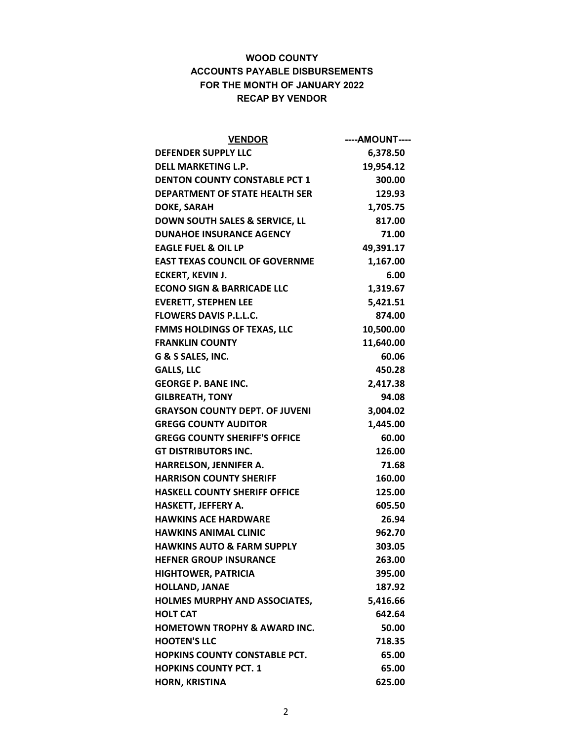| <b>VENDOR</b>                           | ----AMOUNT---- |
|-----------------------------------------|----------------|
| <b>DEFENDER SUPPLY LLC</b>              | 6,378.50       |
| <b>DELL MARKETING L.P.</b>              | 19,954.12      |
| <b>DENTON COUNTY CONSTABLE PCT 1</b>    | 300.00         |
| <b>DEPARTMENT OF STATE HEALTH SER</b>   | 129.93         |
| <b>DOKE, SARAH</b>                      | 1,705.75       |
| DOWN SOUTH SALES & SERVICE, LL          | 817.00         |
| <b>DUNAHOE INSURANCE AGENCY</b>         | 71.00          |
| <b>EAGLE FUEL &amp; OIL LP</b>          | 49,391.17      |
| <b>EAST TEXAS COUNCIL OF GOVERNME</b>   | 1,167.00       |
| <b>ECKERT, KEVIN J.</b>                 | 6.00           |
| <b>ECONO SIGN &amp; BARRICADE LLC</b>   | 1,319.67       |
| <b>EVERETT, STEPHEN LEE</b>             | 5,421.51       |
| <b>FLOWERS DAVIS P.L.L.C.</b>           | 874.00         |
| <b>FMMS HOLDINGS OF TEXAS, LLC</b>      | 10,500.00      |
| <b>FRANKLIN COUNTY</b>                  | 11,640.00      |
| G & S SALES, INC.                       | 60.06          |
| <b>GALLS, LLC</b>                       | 450.28         |
| <b>GEORGE P. BANE INC.</b>              | 2,417.38       |
| <b>GILBREATH, TONY</b>                  | 94.08          |
| <b>GRAYSON COUNTY DEPT. OF JUVENI</b>   | 3,004.02       |
| <b>GREGG COUNTY AUDITOR</b>             | 1,445.00       |
| <b>GREGG COUNTY SHERIFF'S OFFICE</b>    | 60.00          |
| <b>GT DISTRIBUTORS INC.</b>             | 126.00         |
| HARRELSON, JENNIFER A.                  | 71.68          |
| <b>HARRISON COUNTY SHERIFF</b>          | 160.00         |
| <b>HASKELL COUNTY SHERIFF OFFICE</b>    | 125.00         |
| HASKETT, JEFFERY A.                     | 605.50         |
| <b>HAWKINS ACE HARDWARE</b>             | 26.94          |
| <b>HAWKINS ANIMAL CLINIC</b>            | 962.70         |
| <b>HAWKINS AUTO &amp; FARM SUPPLY</b>   | 303.05         |
| <b>HEFNER GROUP INSURANCE</b>           | 263.00         |
| <b>HIGHTOWER, PATRICIA</b>              | 395.00         |
| <b>HOLLAND, JANAE</b>                   | 187.92         |
| <b>HOLMES MURPHY AND ASSOCIATES,</b>    | 5,416.66       |
| <b>HOLT CAT</b>                         | 642.64         |
| <b>HOMETOWN TROPHY &amp; AWARD INC.</b> | 50.00          |
| <b>HOOTEN'S LLC</b>                     | 718.35         |
| <b>HOPKINS COUNTY CONSTABLE PCT.</b>    | 65.00          |
| <b>HOPKINS COUNTY PCT. 1</b>            | 65.00          |
| <b>HORN, KRISTINA</b>                   | 625.00         |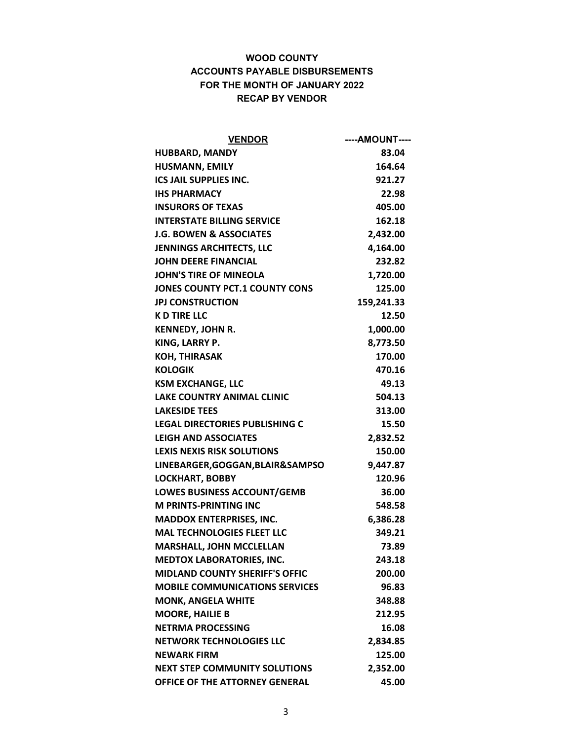| <b>VENDOR</b>                         | ----AMOUNT---- |
|---------------------------------------|----------------|
| <b>HUBBARD, MANDY</b>                 | 83.04          |
| <b>HUSMANN, EMILY</b>                 | 164.64         |
| <b>ICS JAIL SUPPLIES INC.</b>         | 921.27         |
| <b>IHS PHARMACY</b>                   | 22.98          |
| <b>INSURORS OF TEXAS</b>              | 405.00         |
| <b>INTERSTATE BILLING SERVICE</b>     | 162.18         |
| <b>J.G. BOWEN &amp; ASSOCIATES</b>    | 2,432.00       |
| <b>JENNINGS ARCHITECTS, LLC</b>       | 4,164.00       |
| <b>JOHN DEERE FINANCIAL</b>           | 232.82         |
| <b>JOHN'S TIRE OF MINEOLA</b>         | 1,720.00       |
| <b>JONES COUNTY PCT.1 COUNTY CONS</b> | 125.00         |
| <b>JPJ CONSTRUCTION</b>               | 159,241.33     |
| <b>K D TIRE LLC</b>                   | 12.50          |
| KENNEDY, JOHN R.                      | 1,000.00       |
| KING, LARRY P.                        | 8,773.50       |
| <b>KOH, THIRASAK</b>                  | 170.00         |
| <b>KOLOGIK</b>                        | 470.16         |
| <b>KSM EXCHANGE, LLC</b>              | 49.13          |
| <b>LAKE COUNTRY ANIMAL CLINIC</b>     | 504.13         |
| <b>LAKESIDE TEES</b>                  | 313.00         |
| <b>LEGAL DIRECTORIES PUBLISHING C</b> | 15.50          |
| <b>LEIGH AND ASSOCIATES</b>           | 2,832.52       |
| <b>LEXIS NEXIS RISK SOLUTIONS</b>     | 150.00         |
| LINEBARGER, GOGGAN, BLAIR&SAMPSO      | 9,447.87       |
| <b>LOCKHART, BOBBY</b>                | 120.96         |
| <b>LOWES BUSINESS ACCOUNT/GEMB</b>    | 36.00          |
| <b>M PRINTS-PRINTING INC</b>          | 548.58         |
| <b>MADDOX ENTERPRISES, INC.</b>       | 6,386.28       |
| <b>MAL TECHNOLOGIES FLEET LLC</b>     | 349.21         |
| <b>MARSHALL, JOHN MCCLELLAN</b>       | 73.89          |
| <b>MEDTOX LABORATORIES, INC.</b>      | 243.18         |
| <b>MIDLAND COUNTY SHERIFF'S OFFIC</b> | 200.00         |
| <b>MOBILE COMMUNICATIONS SERVICES</b> | 96.83          |
| <b>MONK, ANGELA WHITE</b>             | 348.88         |
| <b>MOORE, HAILIE B</b>                | 212.95         |
| <b>NETRMA PROCESSING</b>              | 16.08          |
| <b>NETWORK TECHNOLOGIES LLC</b>       | 2,834.85       |
| <b>NEWARK FIRM</b>                    | 125.00         |
| <b>NEXT STEP COMMUNITY SOLUTIONS</b>  | 2,352.00       |
| OFFICE OF THE ATTORNEY GENERAL        | 45.00          |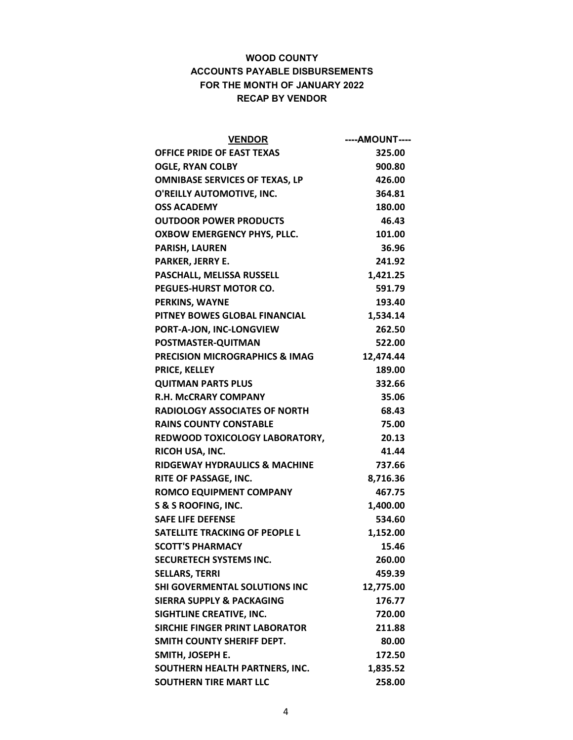| <b>VENDOR</b>                             | ----AMOUNT---- |
|-------------------------------------------|----------------|
| <b>OFFICE PRIDE OF EAST TEXAS</b>         | 325.00         |
| <b>OGLE, RYAN COLBY</b>                   | 900.80         |
| <b>OMNIBASE SERVICES OF TEXAS, LP</b>     | 426.00         |
| O'REILLY AUTOMOTIVE, INC.                 | 364.81         |
| <b>OSS ACADEMY</b>                        | 180.00         |
| <b>OUTDOOR POWER PRODUCTS</b>             | 46.43          |
| OXBOW EMERGENCY PHYS, PLLC.               | 101.00         |
| <b>PARISH, LAUREN</b>                     | 36.96          |
| PARKER, JERRY E.                          | 241.92         |
| PASCHALL, MELISSA RUSSELL                 | 1,421.25       |
| PEGUES-HURST MOTOR CO.                    | 591.79         |
| PERKINS, WAYNE                            | 193.40         |
| PITNEY BOWES GLOBAL FINANCIAL             | 1,534.14       |
| PORT-A-JON, INC-LONGVIEW                  | 262.50         |
| POSTMASTER-QUITMAN                        | 522.00         |
| <b>PRECISION MICROGRAPHICS &amp; IMAG</b> | 12,474.44      |
| PRICE, KELLEY                             | 189.00         |
| <b>QUITMAN PARTS PLUS</b>                 | 332.66         |
| <b>R.H. MCCRARY COMPANY</b>               | 35.06          |
| <b>RADIOLOGY ASSOCIATES OF NORTH</b>      | 68.43          |
| <b>RAINS COUNTY CONSTABLE</b>             | 75.00          |
| REDWOOD TOXICOLOGY LABORATORY,            | 20.13          |
| RICOH USA, INC.                           | 41.44          |
| <b>RIDGEWAY HYDRAULICS &amp; MACHINE</b>  | 737.66         |
| RITE OF PASSAGE, INC.                     | 8,716.36       |
| <b>ROMCO EQUIPMENT COMPANY</b>            | 467.75         |
| S & S ROOFING, INC.                       | 1,400.00       |
| <b>SAFE LIFE DEFENSE</b>                  | 534.60         |
| SATELLITE TRACKING OF PEOPLE L            | 1,152.00       |
| <b>SCOTT'S PHARMACY</b>                   | 15.46          |
| <b>SECURETECH SYSTEMS INC.</b>            | 260.00         |
| <b>SELLARS, TERRI</b>                     | 459.39         |
| <b>SHI GOVERMENTAL SOLUTIONS INC</b>      | 12,775.00      |
| <b>SIERRA SUPPLY &amp; PACKAGING</b>      | 176.77         |
| <b>SIGHTLINE CREATIVE, INC.</b>           | 720.00         |
| <b>SIRCHIE FINGER PRINT LABORATOR</b>     | 211.88         |
| SMITH COUNTY SHERIFF DEPT.                | 80.00          |
| SMITH, JOSEPH E.                          | 172.50         |
| SOUTHERN HEALTH PARTNERS, INC.            | 1,835.52       |
| <b>SOUTHERN TIRE MART LLC</b>             | 258.00         |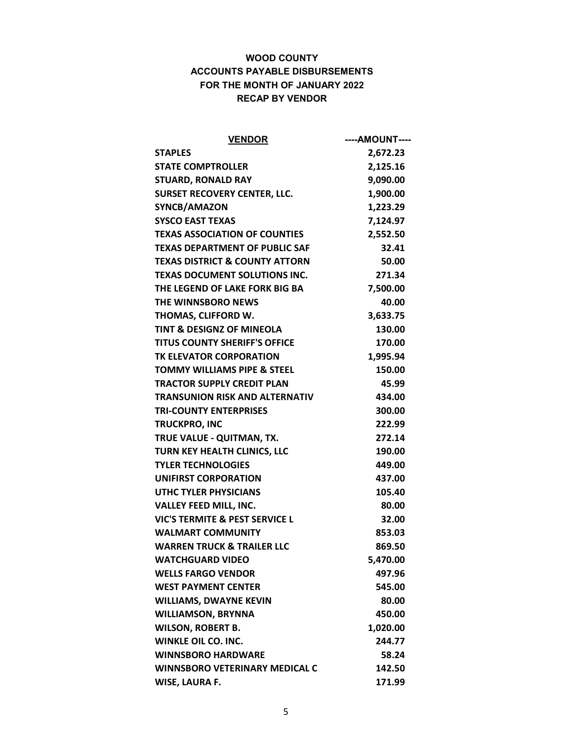| <b>VENDOR</b>                             | ----AMOUNT---- |
|-------------------------------------------|----------------|
| <b>STAPLES</b>                            | 2,672.23       |
| <b>STATE COMPTROLLER</b>                  | 2,125.16       |
| <b>STUARD, RONALD RAY</b>                 | 9,090.00       |
| <b>SURSET RECOVERY CENTER, LLC.</b>       | 1,900.00       |
| SYNCB/AMAZON                              | 1,223.29       |
| <b>SYSCO EAST TEXAS</b>                   | 7,124.97       |
| <b>TEXAS ASSOCIATION OF COUNTIES</b>      | 2,552.50       |
| <b>TEXAS DEPARTMENT OF PUBLIC SAF</b>     | 32.41          |
| <b>TEXAS DISTRICT &amp; COUNTY ATTORN</b> | 50.00          |
| <b>TEXAS DOCUMENT SOLUTIONS INC.</b>      | 271.34         |
| THE LEGEND OF LAKE FORK BIG BA            | 7,500.00       |
| <b>THE WINNSBORO NEWS</b>                 | 40.00          |
| THOMAS, CLIFFORD W.                       | 3,633.75       |
| <b>TINT &amp; DESIGNZ OF MINEOLA</b>      | 130.00         |
| <b>TITUS COUNTY SHERIFF'S OFFICE</b>      | 170.00         |
| TK ELEVATOR CORPORATION                   | 1,995.94       |
| <b>TOMMY WILLIAMS PIPE &amp; STEEL</b>    | 150.00         |
| <b>TRACTOR SUPPLY CREDIT PLAN</b>         | 45.99          |
| <b>TRANSUNION RISK AND ALTERNATIV</b>     | 434.00         |
| <b>TRI-COUNTY ENTERPRISES</b>             | 300.00         |
| <b>TRUCKPRO, INC</b>                      | 222.99         |
| TRUE VALUE - QUITMAN, TX.                 | 272.14         |
| TURN KEY HEALTH CLINICS, LLC              | 190.00         |
| <b>TYLER TECHNOLOGIES</b>                 | 449.00         |
| <b>UNIFIRST CORPORATION</b>               | 437.00         |
| <b>UTHC TYLER PHYSICIANS</b>              | 105.40         |
| <b>VALLEY FEED MILL, INC.</b>             | 80.00          |
| VIC'S TERMITE & PEST SERVICE L            | 32.00          |
| <b>WALMART COMMUNITY</b>                  | 853.03         |
| <b>WARREN TRUCK &amp; TRAILER LLC</b>     | 869.50         |
| <b>WATCHGUARD VIDEO</b>                   | 5,470.00       |
| <b>WELLS FARGO VENDOR</b>                 | 497.96         |
| <b>WEST PAYMENT CENTER</b>                | 545.00         |
| <b>WILLIAMS, DWAYNE KEVIN</b>             | 80.00          |
| <b>WILLIAMSON, BRYNNA</b>                 | 450.00         |
| <b>WILSON, ROBERT B.</b>                  | 1,020.00       |
| <b>WINKLE OIL CO. INC.</b>                | 244.77         |
| <b>WINNSBORO HARDWARE</b>                 | 58.24          |
| <b>WINNSBORO VETERINARY MEDICAL C</b>     | 142.50         |
| <b>WISE, LAURA F.</b>                     | 171.99         |